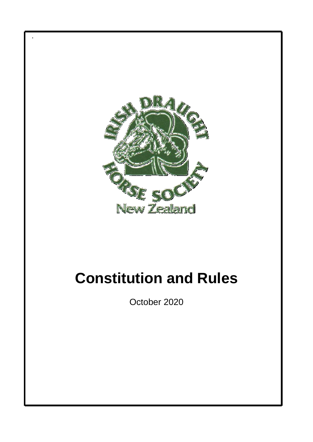

.

# **Constitution and Rules**

October 2020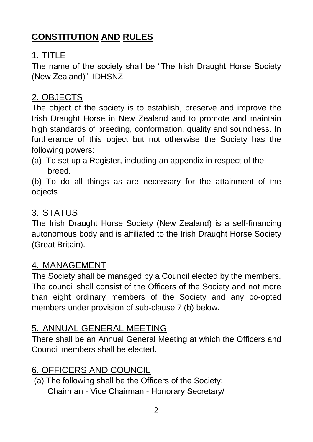# **CONSTITUTION AND RULES**

# 1. TITLE

The name of the society shall be "The Irish Draught Horse Society (New Zealand)" IDHSNZ.

# 2. OBJECTS

The object of the society is to establish, preserve and improve the Irish Draught Horse in New Zealand and to promote and maintain high standards of breeding, conformation, quality and soundness. In furtherance of this object but not otherwise the Society has the following powers:

(a) To set up a Register, including an appendix in respect of the breed.

(b) To do all things as are necessary for the attainment of the objects.

# 3. STATUS

The Irish Draught Horse Society (New Zealand) is a self-financing autonomous body and is affiliated to the Irish Draught Horse Society (Great Britain).

## 4. MANAGEMENT

The Society shall be managed by a Council elected by the members. The council shall consist of the Officers of the Society and not more than eight ordinary members of the Society and any co-opted members under provision of sub-clause 7 (b) below.

# 5. ANNUAL GENERAL MEETING

There shall be an Annual General Meeting at which the Officers and Council members shall be elected.

# 6. OFFICERS AND COUNCIL

(a) The following shall be the Officers of the Society: Chairman - Vice Chairman - Honorary Secretary/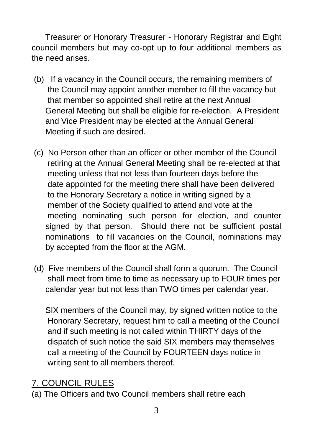Treasurer or Honorary Treasurer - Honorary Registrar and Eight council members but may co-opt up to four additional members as the need arises.

- (b) If a vacancy in the Council occurs, the remaining members of the Council may appoint another member to fill the vacancy but that member so appointed shall retire at the next Annual General Meeting but shall be eligible for re-election. A President and Vice President may be elected at the Annual General Meeting if such are desired.
- (c) No Person other than an officer or other member of the Council retiring at the Annual General Meeting shall be re-elected at that meeting unless that not less than fourteen days before the date appointed for the meeting there shall have been delivered to the Honorary Secretary a notice in writing signed by a member of the Society qualified to attend and vote at the meeting nominating such person for election, and counter signed by that person. Should there not be sufficient postal nominations to fill vacancies on the Council, nominations may by accepted from the floor at the AGM.
- (d) Five members of the Council shall form a quorum. The Council shall meet from time to time as necessary up to FOUR times per calendar year but not less than TWO times per calendar year.

 SIX members of the Council may, by signed written notice to the Honorary Secretary, request him to call a meeting of the Council and if such meeting is not called within THIRTY days of the dispatch of such notice the said SIX members may themselves call a meeting of the Council by FOURTEEN days notice in writing sent to all members thereof.

# 7. COUNCIL RULES

(a) The Officers and two Council members shall retire each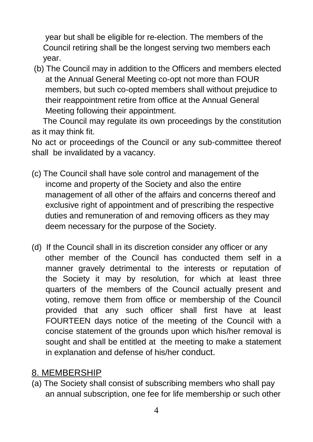year but shall be eligible for re-election. The members of the Council retiring shall be the longest serving two members each year.

(b) The Council may in addition to the Officers and members elected at the Annual General Meeting co-opt not more than FOUR members, but such co-opted members shall without prejudice to their reappointment retire from office at the Annual General Meeting following their appointment.

 The Council may regulate its own proceedings by the constitution as it may think fit.

No act or proceedings of the Council or any sub-committee thereof shall be invalidated by a vacancy.

- (c) The Council shall have sole control and management of the income and property of the Society and also the entire management of all other of the affairs and concerns thereof and exclusive right of appointment and of prescribing the respective duties and remuneration of and removing officers as they may deem necessary for the purpose of the Society.
- (d) If the Council shall in its discretion consider any officer or any other member of the Council has conducted them self in a manner gravely detrimental to the interests or reputation of the Society it may by resolution, for which at least three quarters of the members of the Council actually present and voting, remove them from office or membership of the Council provided that any such officer shall first have at least FOURTEEN days notice of the meeting of the Council with a concise statement of the grounds upon which his/her removal is sought and shall be entitled at the meeting to make a statement in explanation and defense of his/her conduct.

# 8. MEMBERSHIP

(a) The Society shall consist of subscribing members who shall pay an annual subscription, one fee for life membership or such other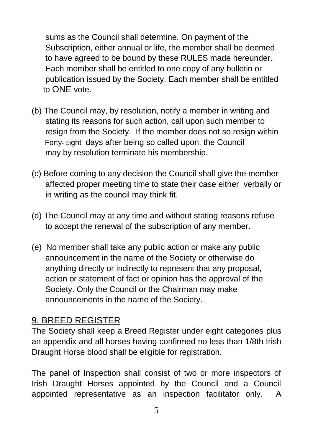sums as the Council shall determine. On payment of the Subscription, either annual or life, the member shall be deemed to have agreed to be bound by these RULES made hereunder. Each member shall be entitled to one copy of any bulletin or publication issued by the Society. Each member shall be entitled to ONE vote.

- (b) The Council may, by resolution, notify a member in writing and stating its reasons for such action, call upon such member to resign from the Society. If the member does not so resign within Forty- Eight days after being so called upon, the Council may by resolution terminate his membership.
- (c) Before coming to any decision the Council shall give the member affected proper meeting time to state their case either verbally or in writing as the council may think fit.
- (d) The Council may at any time and without stating reasons refuse to accept the renewal of the subscription of any member.
- (e) No member shall take any public action or make any public announcement in the name of the Society or otherwise do anything directly or indirectly to represent that any proposal, action or statement of fact or opinion has the approval of the Society. Only the Council or the Chairman may make announcements in the name of the Society.

## 9. BREED REGISTER

The Society shall keep a Breed Register under eight categories plus an appendix and all horses having confirmed no less than 1/8th Irish Draught Horse blood shall be eligible for registration.

The panel of Inspection shall consist of two or more inspectors of Irish Draught Horses appointed by the Council and a Council appointed representative as an inspection facilitator only. A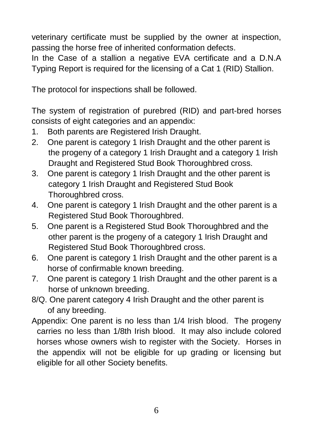veterinary certificate must be supplied by the owner at inspection, passing the horse free of inherited conformation defects.

In the Case of a stallion a negative EVA certificate and a D.N.A Typing Report is required for the licensing of a Cat 1 (RID) Stallion.

The protocol for inspections shall be followed.

The system of registration of purebred (RID) and part-bred horses consists of eight categories and an appendix:

- 1. Both parents are Registered Irish Draught.
- 2. One parent is category 1 Irish Draught and the other parent is the progeny of a category 1 Irish Draught and a category 1 Irish Draught and Registered Stud Book Thoroughbred cross.
- 3. One parent is category 1 Irish Draught and the other parent is category 1 Irish Draught and Registered Stud Book Thoroughbred cross.
- 4. One parent is category 1 Irish Draught and the other parent is a Registered Stud Book Thoroughbred.
- 5. One parent is a Registered Stud Book Thoroughbred and the other parent is the progeny of a category 1 Irish Draught and Registered Stud Book Thoroughbred cross.
- 6. One parent is category 1 Irish Draught and the other parent is a horse of confirmable known breeding.
- 7. One parent is category 1 Irish Draught and the other parent is a horse of unknown breeding.
- 8/Q. One parent category 4 Irish Draught and the other parent is of any breeding.
- Appendix: One parent is no less than 1/4 Irish blood. The progeny carries no less than 1/8th Irish blood. It may also include colored horses whose owners wish to register with the Society. Horses in the appendix will not be eligible for up grading or licensing but eligible for all other Society benefits.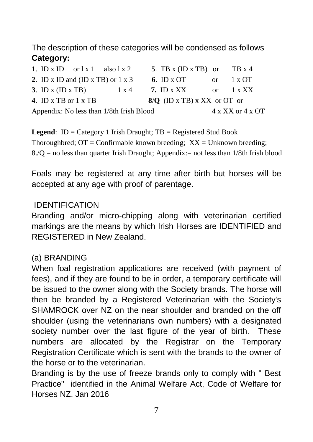The description of these categories will be condensed as follows **Category:**

|                                          |                       |  | 1. ID x ID or $1 \times 1$ also $1 \times 2$    | 5. TB $x$ (ID $x$ TB) or      |          | TB x 4                         |
|------------------------------------------|-----------------------|--|-------------------------------------------------|-------------------------------|----------|--------------------------------|
|                                          |                       |  | 2. ID x ID and $(ID \times TB)$ or $1 \times 3$ | 6. ID $x$ OT                  | $\alpha$ | $1 \times \text{OT}$           |
|                                          | 3. ID $x$ (ID $x$ TB) |  | $1 \times 4$                                    | <b>7.</b> ID x XX             |          | or $1 \times XX$               |
|                                          | 4. ID x TB or 1 x TB  |  |                                                 | $8/Q$ (ID x TB) x XX or OT or |          |                                |
| Appendix: No less than 1/8th Irish Blood |                       |  |                                                 |                               |          | $4 \times XX$ or $4 \times OT$ |

**Legend**: ID = Category 1 Irish Draught; TB = Registered Stud Book Thoroughbred;  $OT =$  Confirmable known breeding;  $XX =$  Unknown breeding;  $8/O =$  no less than quarter Irish Draught; Appendix:= not less than 1/8th Irish blood

Foals may be registered at any time after birth but horses will be accepted at any age with proof of parentage.

#### IDENTIFICATION

Branding and/or micro-chipping along with veterinarian certified markings are the means by which Irish Horses are IDENTIFIED and REGISTERED in New Zealand.

#### (a) BRANDING

When foal registration applications are received (with payment of fees), and if they are found to be in order, a temporary certificate will be issued to the owner along with the Society brands. The horse will then be branded by a Registered Veterinarian with the Society's SHAMROCK over NZ on the near shoulder and branded on the off shoulder (using the veterinarians own numbers) with a designated society number over the last figure of the year of birth. These numbers are allocated by the Registrar on the Temporary Registration Certificate which is sent with the brands to the owner of the horse or to the veterinarian.

Branding is by the use of freeze brands only to comply with " Best Practice" identified in the Animal Welfare Act, Code of Welfare for Horses NZ. Jan 2016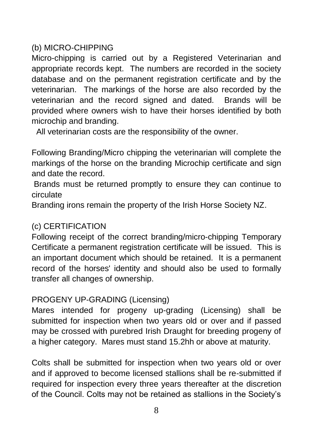#### (b) MICRO-CHIPPING

Micro-chipping is carried out by a Registered Veterinarian and appropriate records kept. The numbers are recorded in the society database and on the permanent registration certificate and by the veterinarian. The markings of the horse are also recorded by the veterinarian and the record signed and dated. Brands will be provided where owners wish to have their horses identified by both microchip and branding.

All veterinarian costs are the responsibility of the owner.

Following Branding/Micro chipping the veterinarian will complete the markings of the horse on the branding Microchip certificate and sign and date the record.

Brands must be returned promptly to ensure they can continue to circulate

Branding irons remain the property of the Irish Horse Society NZ.

#### (c) CERTIFICATION

Following receipt of the correct branding/micro-chipping Temporary Certificate a permanent registration certificate will be issued. This is an important document which should be retained. It is a permanent record of the horses' identity and should also be used to formally transfer all changes of ownership.

#### PROGENY UP-GRADING (Licensing)

Mares intended for progeny up-grading (Licensing) shall be submitted for inspection when two years old or over and if passed may be crossed with purebred Irish Draught for breeding progeny of a higher category. Mares must stand 15.2hh or above at maturity.

Colts shall be submitted for inspection when two years old or over and if approved to become licensed stallions shall be re-submitted if required for inspection every three years thereafter at the discretion of the Council. Colts may not be retained as stallions in the Society's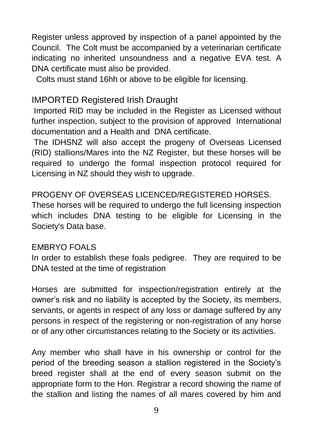Register unless approved by inspection of a panel appointed by the Council. The Colt must be accompanied by a veterinarian certificate indicating no inherited unsoundness and a negative EVA test. A DNA certificate must also be provided.

Colts must stand 16hh or above to be eligible for licensing.

## IMPORTED Registered Irish Draught

Imported RID may be included in the Register as Licensed without further inspection, subject to the provision of approved International documentation and a Health and DNA certificate.

The IDHSNZ will also accept the progeny of Overseas Licensed (RID) stallions/Mares into the NZ Register, but these horses will be required to undergo the formal inspection protocol required for Licensing in NZ should they wish to upgrade.

## PROGENY OF OVERSEAS LICENCED/REGISTERED HORSES.

These horses will be required to undergo the full licensing inspection which includes DNA testing to be eligible for Licensing in the Society's Data base.

#### EMBRYO FOALS

In order to establish these foals pedigree. They are required to be DNA tested at the time of registration

Horses are submitted for inspection/registration entirely at the owner's risk and no liability is accepted by the Society, its members, servants, or agents in respect of any loss or damage suffered by any persons in respect of the registering or non-registration of any horse or of any other circumstances relating to the Society or its activities.

Any member who shall have in his ownership or control for the period of the breeding season a stallion registered in the Society's breed register shall at the end of every season submit on the appropriate form to the Hon. Registrar a record showing the name of the stallion and listing the names of all mares covered by him and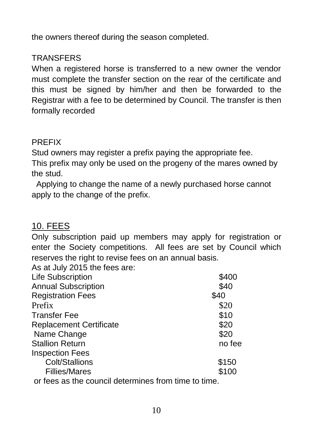the owners thereof during the season completed.

#### **TRANSFERS**

When a registered horse is transferred to a new owner the vendor must complete the transfer section on the rear of the certificate and this must be signed by him/her and then be forwarded to the Registrar with a fee to be determined by Council. The transfer is then formally recorded

#### PREFIX

Stud owners may register a prefix paying the appropriate fee. This prefix may only be used on the progeny of the mares owned by the stud.

 Applying to change the name of a newly purchased horse cannot apply to the change of the prefix.

## 10. FEES

Only subscription paid up members may apply for registration or enter the Society competitions. All fees are set by Council which reserves the right to revise fees on an annual basis.

As at July 2015 the fees are:

| Life Subscription                                    | \$400  |  |  |  |
|------------------------------------------------------|--------|--|--|--|
| <b>Annual Subscription</b>                           | \$40   |  |  |  |
| <b>Registration Fees</b>                             | \$40   |  |  |  |
| Prefix                                               | \$20   |  |  |  |
| <b>Transfer Fee</b>                                  | \$10   |  |  |  |
| <b>Replacement Certificate</b>                       | \$20   |  |  |  |
| Name Change                                          | \$20   |  |  |  |
| <b>Stallion Return</b>                               | no fee |  |  |  |
| <b>Inspection Fees</b>                               |        |  |  |  |
| Colt/Stallions                                       | \$150  |  |  |  |
| <b>Fillies/Mares</b>                                 | \$100  |  |  |  |
| or fees as the council determines from time to time. |        |  |  |  |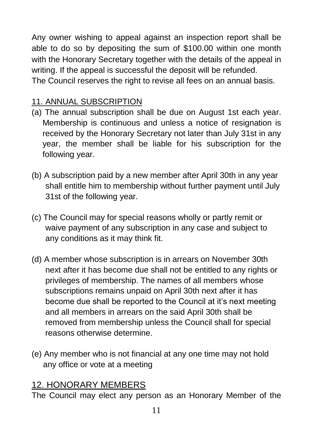Any owner wishing to appeal against an inspection report shall be able to do so by depositing the sum of \$100.00 within one month with the Honorary Secretary together with the details of the appeal in writing. If the appeal is successful the deposit will be refunded.

The Council reserves the right to revise all fees on an annual basis.

## 11. ANNUAL SUBSCRIPTION

- (a) The annual subscription shall be due on August 1st each year. Membership is continuous and unless a notice of resignation is received by the Honorary Secretary not later than July 31st in any year, the member shall be liable for his subscription for the following year.
- (b) A subscription paid by a new member after April 30th in any year shall entitle him to membership without further payment until July 31st of the following year.
- (c) The Council may for special reasons wholly or partly remit or waive payment of any subscription in any case and subject to any conditions as it may think fit.
- (d) A member whose subscription is in arrears on November 30th next after it has become due shall not be entitled to any rights or privileges of membership. The names of all members whose subscriptions remains unpaid on April 30th next after it has become due shall be reported to the Council at it's next meeting and all members in arrears on the said April 30th shall be removed from membership unless the Council shall for special reasons otherwise determine.
- (e) Any member who is not financial at any one time may not hold any office or vote at a meeting

# 12. HONORARY MEMBERS

The Council may elect any person as an Honorary Member of the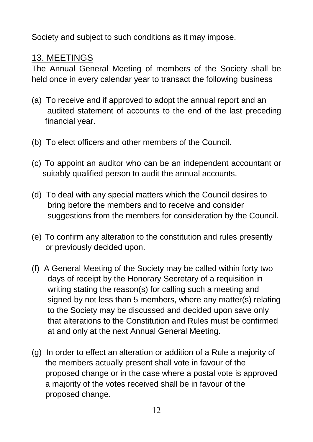Society and subject to such conditions as it may impose.

## 13. MEETINGS

The Annual General Meeting of members of the Society shall be held once in every calendar year to transact the following business

- (a) To receive and if approved to adopt the annual report and an audited statement of accounts to the end of the last preceding financial year.
- (b) To elect officers and other members of the Council.
- (c) To appoint an auditor who can be an independent accountant or suitably qualified person to audit the annual accounts.
- (d) To deal with any special matters which the Council desires to bring before the members and to receive and consider suggestions from the members for consideration by the Council.
- (e) To confirm any alteration to the constitution and rules presently or previously decided upon.
- (f) A General Meeting of the Society may be called within forty two days of receipt by the Honorary Secretary of a requisition in writing stating the reason(s) for calling such a meeting and signed by not less than 5 members, where any matter(s) relating to the Society may be discussed and decided upon save only that alterations to the Constitution and Rules must be confirmed at and only at the next Annual General Meeting.
- (g) In order to effect an alteration or addition of a Rule a majority of the members actually present shall vote in favour of the proposed change or in the case where a postal vote is approved a majority of the votes received shall be in favour of the proposed change.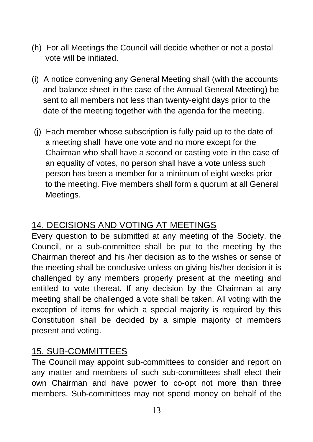- (h) For all Meetings the Council will decide whether or not a postal vote will be initiated.
- (i) A notice convening any General Meeting shall (with the accounts and balance sheet in the case of the Annual General Meeting) be sent to all members not less than twenty-eight days prior to the date of the meeting together with the agenda for the meeting.
- (j) Each member whose subscription is fully paid up to the date of a meeting shall have one vote and no more except for the Chairman who shall have a second or casting vote in the case of an equality of votes, no person shall have a vote unless such person has been a member for a minimum of eight weeks prior to the meeting. Five members shall form a quorum at all General Meetings.

## 14. DECISIONS AND VOTING AT MEETINGS

Every question to be submitted at any meeting of the Society, the Council, or a sub-committee shall be put to the meeting by the Chairman thereof and his /her decision as to the wishes or sense of the meeting shall be conclusive unless on giving his/her decision it is challenged by any members properly present at the meeting and entitled to vote thereat. If any decision by the Chairman at any meeting shall be challenged a vote shall be taken. All voting with the exception of items for which a special majority is required by this Constitution shall be decided by a simple majority of members present and voting.

#### 15. SUB-COMMITTEES

The Council may appoint sub-committees to consider and report on any matter and members of such sub-committees shall elect their own Chairman and have power to co-opt not more than three members. Sub-committees may not spend money on behalf of the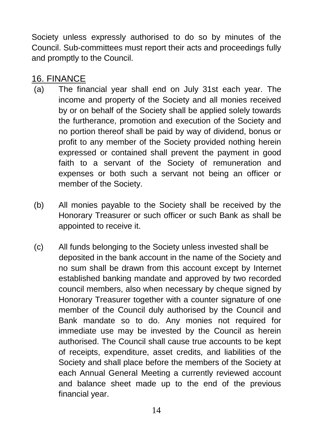Society unless expressly authorised to do so by minutes of the Council. Sub-committees must report their acts and proceedings fully and promptly to the Council.

## 16. FINANCE

- (a) The financial year shall end on July 31st each year. The income and property of the Society and all monies received by or on behalf of the Society shall be applied solely towards the furtherance, promotion and execution of the Society and no portion thereof shall be paid by way of dividend, bonus or profit to any member of the Society provided nothing herein expressed or contained shall prevent the payment in good faith to a servant of the Society of remuneration and expenses or both such a servant not being an officer or member of the Society.
- (b) All monies payable to the Society shall be received by the Honorary Treasurer or such officer or such Bank as shall be appointed to receive it.
- (c) All funds belonging to the Society unless invested shall be deposited in the bank account in the name of the Society and no sum shall be drawn from this account except by Internet established banking mandate and approved by two recorded council members, also when necessary by cheque signed by Honorary Treasurer together with a counter signature of one member of the Council duly authorised by the Council and Bank mandate so to do. Any monies not required for immediate use may be invested by the Council as herein authorised. The Council shall cause true accounts to be kept of receipts, expenditure, asset credits, and liabilities of the Society and shall place before the members of the Society at each Annual General Meeting a currently reviewed account and balance sheet made up to the end of the previous financial year.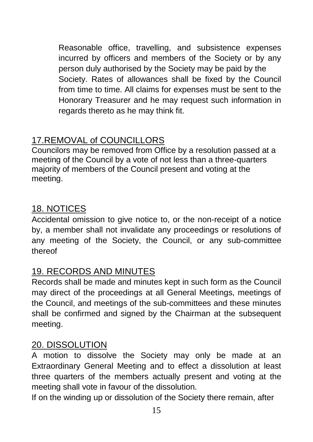Reasonable office, travelling, and subsistence expenses incurred by officers and members of the Society or by any person duly authorised by the Society may be paid by the Society. Rates of allowances shall be fixed by the Council from time to time. All claims for expenses must be sent to the Honorary Treasurer and he may request such information in regards thereto as he may think fit.

## 17.REMOVAL of COUNCILLORS

Councilors may be removed from Office by a resolution passed at a meeting of the Council by a vote of not less than a three-quarters majority of members of the Council present and voting at the meeting.

## 18. NOTICES

Accidental omission to give notice to, or the non-receipt of a notice by, a member shall not invalidate any proceedings or resolutions of any meeting of the Society, the Council, or any sub-committee thereof

# 19. RECORDS AND MINUTES

Records shall be made and minutes kept in such form as the Council may direct of the proceedings at all General Meetings, meetings of the Council, and meetings of the sub-committees and these minutes shall be confirmed and signed by the Chairman at the subsequent meeting.

## 20. DISSOLUTION

A motion to dissolve the Society may only be made at an Extraordinary General Meeting and to effect a dissolution at least three quarters of the members actually present and voting at the meeting shall vote in favour of the dissolution.

If on the winding up or dissolution of the Society there remain, after